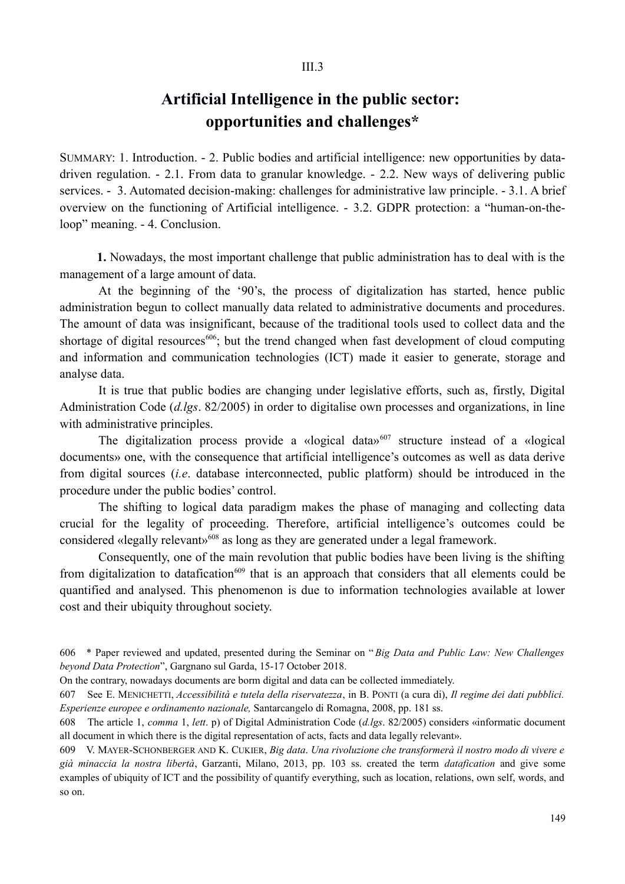### $III<sub>3</sub>$

# **Artificial Intelligence in the public sector: opportunities and challenges\***

SUMMARY: 1. Introduction. - 2. Public bodies and artificial intelligence: new opportunities by datadriven regulation. - 2.1. From data to granular knowledge. - 2.2. New ways of delivering public services. - 3. Automated decision-making: challenges for administrative law principle. - 3.1. A brief overview on the functioning of Artificial intelligence. - 3.2. GDPR protection: a "human-on-theloop" meaning. - 4. Conclusion.

**1.** Nowadays, the most important challenge that public administration has to deal with is the management of a large amount of data.

At the beginning of the '90's, the process of digitalization has started, hence public administration begun to collect manually data related to administrative documents and procedures. The amount of data was insignificant, because of the traditional tools used to collect data and the shortage of digital resources<sup>606</sup>; but the trend changed when fast development of cloud computing and information and communication technologies (ICT) made it easier to generate, storage and analyse data.

It is true that public bodies are changing under legislative efforts, such as, firstly, Digital Administration Code (*d.lgs*. 82/2005) in order to digitalise own processes and organizations, in line with administrative principles.

The digitalization process provide a «logical data»<sup>607</sup> structure instead of a «logical documents» one, with the consequence that artificial intelligence's outcomes as well as data derive from digital sources (*i.e*. database interconnected, public platform) should be introduced in the procedure under the public bodies' control.

The shifting to logical data paradigm makes the phase of managing and collecting data crucial for the legality of proceeding. Therefore, artificial intelligence's outcomes could be considered «legally relevant»<sup>608</sup> as long as they are generated under a legal framework.

Consequently, one of the main revolution that public bodies have been living is the shifting from digitalization to datafication<sup>609</sup> that is an approach that considers that all elements could be quantified and analysed. This phenomenon is due to information technologies available at lower cost and their ubiquity throughout society.

<sup>606 \*</sup> Paper reviewed and updated, presented during the Seminar on "*Big Data and Public Law: New Challenges beyond Data Protection*", Gargnano sul Garda, 15-17 October 2018.

On the contrary, nowadays documents are borm digital and data can be collected immediately.

<sup>607</sup> See E. MENICHETTI, *Accessibilità e tutela della riservatezza*, in B. PONTI (a cura di), *Il regime dei dati pubblici. Esperienze europee e ordinamento nazionale,* Santarcangelo di Romagna, 2008, pp. 181 ss.

<sup>608</sup> The article 1, *comma* 1, *lett*. p) of Digital Administration Code (*d.lgs*. 82/2005) considers «informatic document all document in which there is the digital representation of acts, facts and data legally relevant».

<sup>609</sup> V. MAYER-SCHONBERGER AND K. CUKIER, *Big data*. *Una rivoluzione che transformerà il nostro modo di vivere e già minaccia la nostra libertà*, Garzanti, Milano, 2013, pp. 103 ss. created the term *datafication* and give some examples of ubiquity of ICT and the possibility of quantify everything, such as location, relations, own self, words, and so on.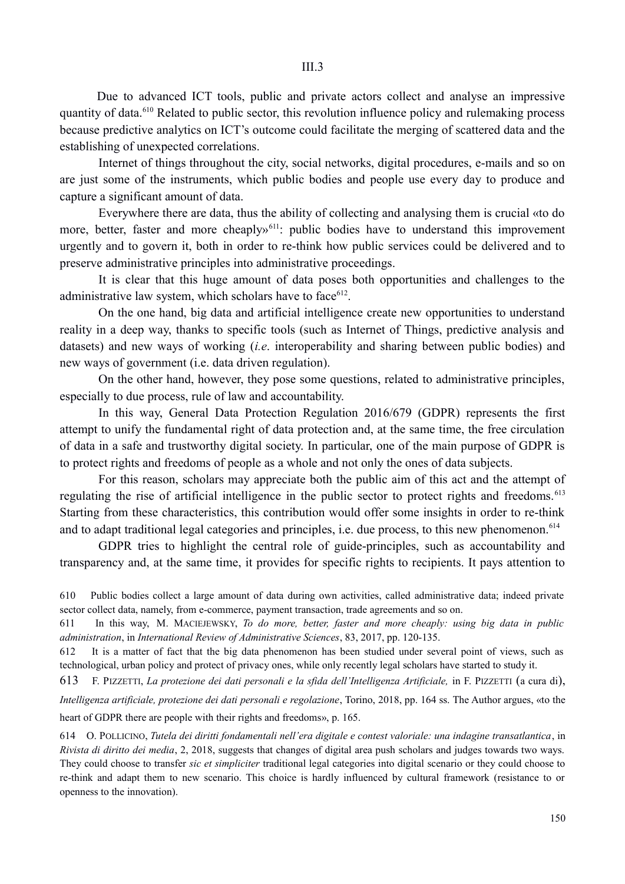Due to advanced ICT tools, public and private actors collect and analyse an impressive quantity of data.610 Related to public sector, this revolution influence policy and rulemaking process because predictive analytics on ICT's outcome could facilitate the merging of scattered data and the establishing of unexpected correlations.

Internet of things throughout the city, social networks, digital procedures, e-mails and so on are just some of the instruments, which public bodies and people use every day to produce and capture a significant amount of data.

Everywhere there are data, thus the ability of collecting and analysing them is crucial «to do more, better, faster and more cheaply<sup>611</sup>: public bodies have to understand this improvement urgently and to govern it, both in order to re-think how public services could be delivered and to preserve administrative principles into administrative proceedings.

It is clear that this huge amount of data poses both opportunities and challenges to the administrative law system, which scholars have to face<sup>612</sup>.

On the one hand, big data and artificial intelligence create new opportunities to understand reality in a deep way, thanks to specific tools (such as Internet of Things, predictive analysis and datasets) and new ways of working (*i.e*. interoperability and sharing between public bodies) and new ways of government (i.e. data driven regulation).

On the other hand, however, they pose some questions, related to administrative principles, especially to due process, rule of law and accountability.

In this way, General Data Protection Regulation 2016/679 (GDPR) represents the first attempt to unify the fundamental right of data protection and, at the same time, the free circulation of data in a safe and trustworthy digital society. In particular, one of the main purpose of GDPR is to protect rights and freedoms of people as a whole and not only the ones of data subjects.

For this reason, scholars may appreciate both the public aim of this act and the attempt of regulating the rise of artificial intelligence in the public sector to protect rights and freedoms.<sup>613</sup> Starting from these characteristics, this contribution would offer some insights in order to re-think and to adapt traditional legal categories and principles, i.e. due process, to this new phenomenon.<sup>614</sup>

GDPR tries to highlight the central role of guide-principles, such as accountability and transparency and, at the same time, it provides for specific rights to recipients. It pays attention to

610 Public bodies collect a large amount of data during own activities, called administrative data; indeed private sector collect data, namely, from e-commerce, payment transaction, trade agreements and so on.

611 In this way, M. MACIEJEWSKY, *To do more, better, faster and more cheaply: using big data in public administration*, in *International Review of Administrative Sciences*, 83, 2017, pp. 120-135.

612 It is a matter of fact that the big data phenomenon has been studied under several point of views, such as technological, urban policy and protect of privacy ones, while only recently legal scholars have started to study it.

613 F. PIZZETTI, *La protezione dei dati personali e la sfida dell'Intelligenza Artificiale,* in F. PIZZETTI (a cura di), *Intelligenza artificiale, protezione dei dati personali e regolazione*, Torino, 2018, pp. 164 ss. The Author argues, «to the heart of GDPR there are people with their rights and freedoms», p. 165.

614 O. POLLICINO, *Tutela dei diritti fondamentali nell'era digitale e contest valoriale: una indagine transatlantica*, in *Rivista di diritto dei media*, 2, 2018, suggests that changes of digital area push scholars and judges towards two ways. They could choose to transfer *sic et simpliciter* traditional legal categories into digital scenario or they could choose to re-think and adapt them to new scenario. This choice is hardly influenced by cultural framework (resistance to or openness to the innovation).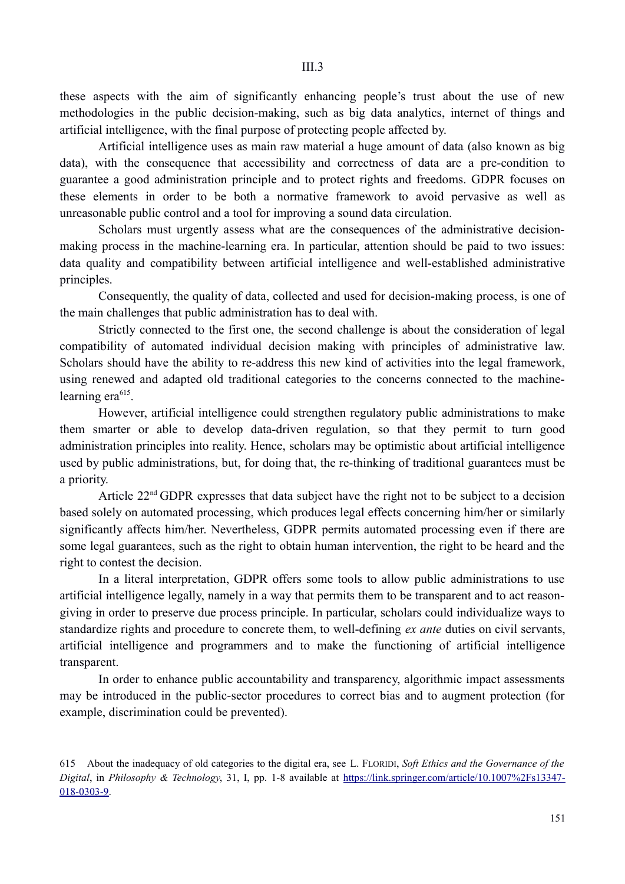these aspects with the aim of significantly enhancing people's trust about the use of new methodologies in the public decision-making, such as big data analytics, internet of things and artificial intelligence, with the final purpose of protecting people affected by.

Artificial intelligence uses as main raw material a huge amount of data (also known as big data), with the consequence that accessibility and correctness of data are a pre-condition to guarantee a good administration principle and to protect rights and freedoms. GDPR focuses on these elements in order to be both a normative framework to avoid pervasive as well as unreasonable public control and a tool for improving a sound data circulation.

Scholars must urgently assess what are the consequences of the administrative decisionmaking process in the machine-learning era. In particular, attention should be paid to two issues: data quality and compatibility between artificial intelligence and well-established administrative principles.

Consequently, the quality of data, collected and used for decision-making process, is one of the main challenges that public administration has to deal with.

Strictly connected to the first one, the second challenge is about the consideration of legal compatibility of automated individual decision making with principles of administrative law. Scholars should have the ability to re-address this new kind of activities into the legal framework, using renewed and adapted old traditional categories to the concerns connected to the machinelearning era $615$ .

However, artificial intelligence could strengthen regulatory public administrations to make them smarter or able to develop data-driven regulation, so that they permit to turn good administration principles into reality. Hence, scholars may be optimistic about artificial intelligence used by public administrations, but, for doing that, the re-thinking of traditional guarantees must be a priority.

Article 22<sup>nd</sup> GDPR expresses that data subject have the right not to be subject to a decision based solely on automated processing, which produces legal effects concerning him/her or similarly significantly affects him/her. Nevertheless, GDPR permits automated processing even if there are some legal guarantees, such as the right to obtain human intervention, the right to be heard and the right to contest the decision.

In a literal interpretation, GDPR offers some tools to allow public administrations to use artificial intelligence legally, namely in a way that permits them to be transparent and to act reasongiving in order to preserve due process principle. In particular, scholars could individualize ways to standardize rights and procedure to concrete them, to well-defining *ex ante* duties on civil servants, artificial intelligence and programmers and to make the functioning of artificial intelligence transparent.

In order to enhance public accountability and transparency, algorithmic impact assessments may be introduced in the public-sector procedures to correct bias and to augment protection (for example, discrimination could be prevented).

<sup>615</sup> About the inadequacy of old categories to the digital era, see L. FLORIDI, *Soft Ethics and the Governance of the Digital*, in *Philosophy & Technology*, 31, I, pp. 1-8 available at https://link.springer.com/article/10.1007%2Fs13347- 018-0303-9.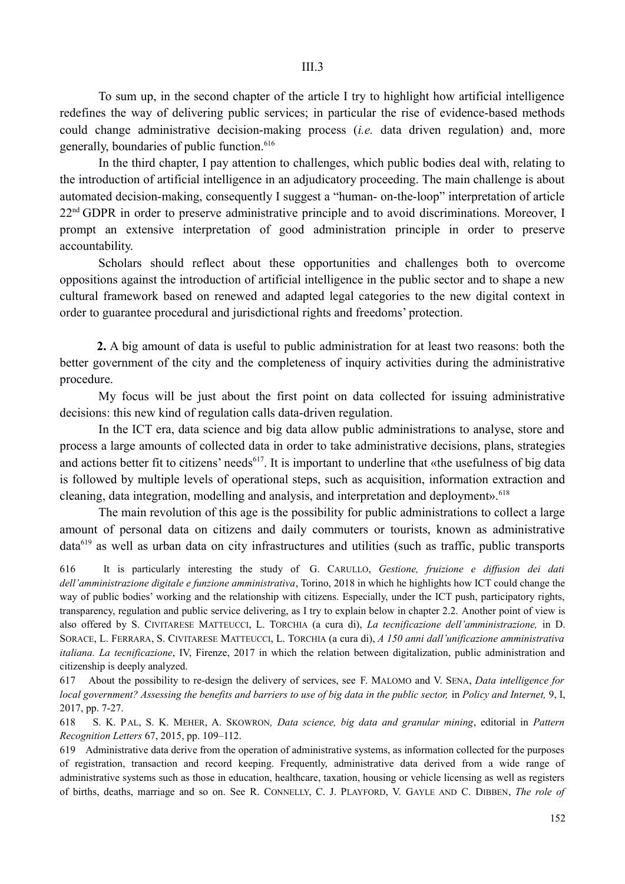To sum up, in the second chapter of the article I try to highlight how artificial intelligence redefines the way of delivering public services; in particular the rise of evidence-based methods could change administrative decision-making process (*i.e.* data driven regulation) and, more generally, boundaries of public function.<sup>616</sup>

In the third chapter, I pay attention to challenges, which public bodies deal with, relating to the introduction of artificial intelligence in an adjudicatory proceeding. The main challenge is about automated decision-making, consequently I suggest a "human- on-the-loop" interpretation of article 22<sup>nd</sup> GDPR in order to preserve administrative principle and to avoid discriminations. Moreover, I prompt an extensive interpretation of good administration principle in order to preserve accountability.

Scholars should reflect about these opportunities and challenges both to overcome oppositions against the introduction of artificial intelligence in the public sector and to shape a new cultural framework based on renewed and adapted legal categories to the new digital context in order to guarantee procedural and jurisdictional rights and freedoms' protection.

**2.** A big amount of data is useful to public administration for at least two reasons: both the better government of the city and the completeness of inquiry activities during the administrative procedure.

My focus will be just about the first point on data collected for issuing administrative decisions: this new kind of regulation calls data-driven regulation.

In the ICT era, data science and big data allow public administrations to analyse, store and process a large amounts of collected data in order to take administrative decisions, plans, strategies and actions better fit to citizens' needs<sup>617</sup>. It is important to underline that «the usefulness of big data is followed by multiple levels of operational steps, such as acquisition, information extraction and cleaning, data integration, modelling and analysis, and interpretation and deployment».<sup>618</sup>

The main revolution of this age is the possibility for public administrations to collect a large amount of personal data on citizens and daily commuters or tourists, known as administrative data<sup>619</sup> as well as urban data on city infrastructures and utilities (such as traffic, public transports

616 It is particularly interesting the study of G. CARULLO, *Gestione, fruizione e diffusion dei dati dell'amministrazione digitale e funzione amministrativa*, Torino, 2018 in which he highlights how ICT could change the way of public bodies' working and the relationship with citizens. Especially, under the ICT push, participatory rights, transparency, regulation and public service delivering, as I try to explain below in chapter 2.2. Another point of view is also offered by S. CIVITARESE MATTEUCCI, L. TORCHIA (a cura di), *La tecnificazione dell'amministrazione,* in D. SORACE, L. FERRARA, S. CIVITARESE MATTEUCCI, L. TORCHIA (a cura di), *A 150 anni dall'unificazione amministrativa italiana. La tecnificazione*, IV, Firenze, 2017 in which the relation between digitalization, public administration and citizenship is deeply analyzed.

617 About the possibility to re-design the delivery of services, see F. MALOMO and V. SENA, *Data intelligence for local government? Assessing the benefits and barriers to use of big data in the public sector,* in *Policy and Internet,* 9, I, 2017, pp. 7-27.

618 S. K. PAL, S. K. MEHER, A. SKOWRON*, Data science, big data and granular mining*, editorial in *Pattern Recognition Letters* 67, 2015, pp. 109–112.

619 Administrative data derive from the operation of administrative systems, as information collected for the purposes of registration, transaction and record keeping. Frequently, administrative data derived from a wide range of administrative systems such as those in education, healthcare, taxation, housing or vehicle licensing as well as registers of births, deaths, marriage and so on. See R. CONNELLY, C. J. PLAYFORD, V. GAYLE AND C. DIBBEN, *The role of*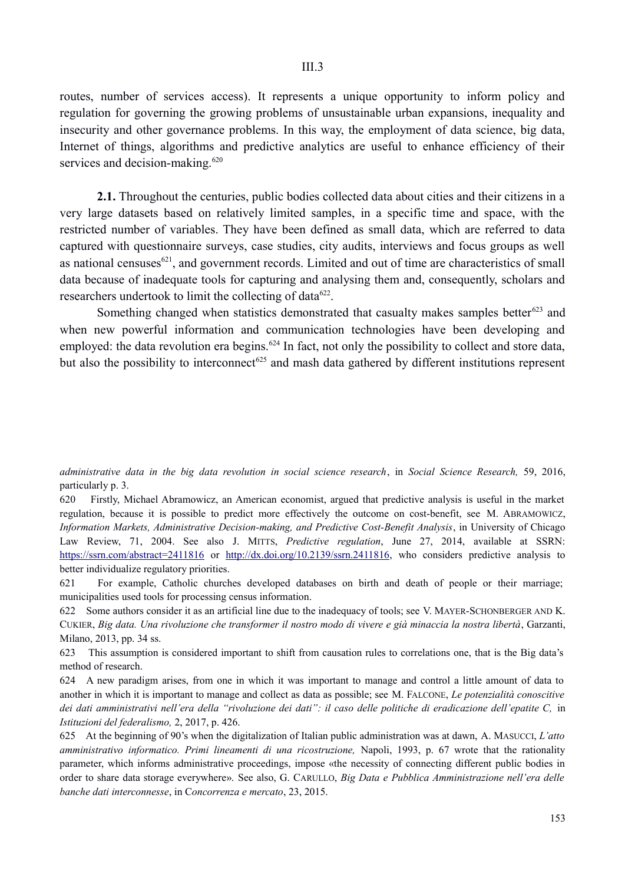routes, number of services access). It represents a unique opportunity to inform policy and regulation for governing the growing problems of unsustainable urban expansions, inequality and insecurity and other governance problems. In this way, the employment of data science, big data, Internet of things, algorithms and predictive analytics are useful to enhance efficiency of their services and decision-making.<sup>620</sup>

**2.1.** Throughout the centuries, public bodies collected data about cities and their citizens in a very large datasets based on relatively limited samples, in a specific time and space, with the restricted number of variables. They have been defined as small data, which are referred to data captured with questionnaire surveys, case studies, city audits, interviews and focus groups as well as national censuses $^{621}$ , and government records. Limited and out of time are characteristics of small data because of inadequate tools for capturing and analysing them and, consequently, scholars and researchers undertook to limit the collecting of data $622$ .

Something changed when statistics demonstrated that casualty makes samples better $623$  and when new powerful information and communication technologies have been developing and employed: the data revolution era begins.<sup> $624$ </sup> In fact, not only the possibility to collect and store data, but also the possibility to interconnect<sup> $625$ </sup> and mash data gathered by different institutions represent

620 Firstly, Michael Abramowicz, an American economist, argued that predictive analysis is useful in the market regulation, because it is possible to predict more effectively the outcome on cost-benefit, see M. ABRAMOWICZ, *Information Markets, Administrative Decision-making, and Predictive Cost-Benefit Analysis*, in University of Chicago Law Review, 71, 2004. See also J. MITTS, *Predictive regulation*, June 27, 2014, available at SSRN: https://ssrn.com/abstract=2411816 or http://dx.doi.org/10.2139/ssrn.2411816, who considers predictive analysis to better individualize regulatory priorities.

621 For example, Catholic churches developed databases on birth and death of people or their marriage; municipalities used tools for processing census information.

622 Some authors consider it as an artificial line due to the inadequacy of tools; see V. MAYER-SCHONBERGER AND K. CUKIER, *Big data. Una rivoluzione che transformer il nostro modo di vivere e già minaccia la nostra libertà*, Garzanti, Milano, 2013, pp. 34 ss.

623 This assumption is considered important to shift from causation rules to correlations one, that is the Big data's method of research.

624 A new paradigm arises, from one in which it was important to manage and control a little amount of data to another in which it is important to manage and collect as data as possible; see M. FALCONE, *Le potenzialità conoscitive* dei dati amministrativi nell'era della "rivoluzione dei dati": il caso delle politiche di eradicazione dell'epatite C, in *Istituzioni del federalismo,* 2, 2017, p. 426.

625 At the beginning of 90's when the digitalization of Italian public administration was at dawn, A. MASUCCI, *L'atto amministrativo informatico. Primi lineamenti di una ricostruzione,* Napoli, 1993, p. 67 wrote that the rationality parameter, which informs administrative proceedings, impose «the necessity of connecting different public bodies in order to share data storage everywhere». See also, G. CARULLO, *Big Data e Pubblica Amministrazione nell'era delle banche dati interconnesse*, in C*oncorrenza e mercato*, 23, 2015.

*administrative data in the big data revolution in social science research*, in *Social Science Research,* 59, 2016, particularly p. 3.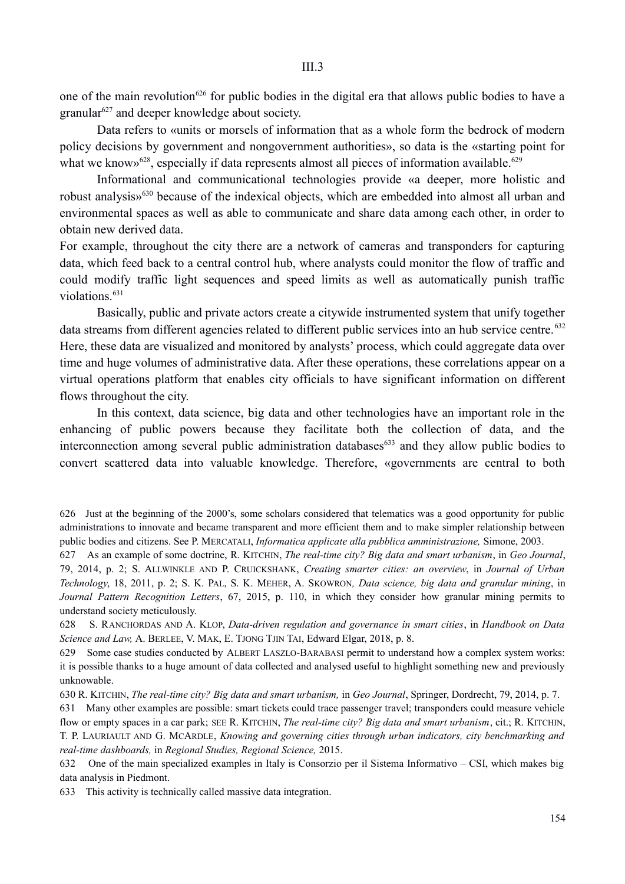one of the main revolution<sup>626</sup> for public bodies in the digital era that allows public bodies to have a granular<sup>627</sup> and deeper knowledge about society.

Data refers to «units or morsels of information that as a whole form the bedrock of modern policy decisions by government and nongovernment authorities», so data is the «starting point for what we know  $628$ , especially if data represents almost all pieces of information available.<sup>629</sup>

Informational and communicational technologies provide «a deeper, more holistic and robust analysis»630 because of the indexical objects, which are embedded into almost all urban and environmental spaces as well as able to communicate and share data among each other, in order to obtain new derived data.

For example, throughout the city there are a network of cameras and transponders for capturing data, which feed back to a central control hub, where analysts could monitor the flow of traffic and could modify traffic light sequences and speed limits as well as automatically punish traffic violations.<sup>631</sup>

Basically, public and private actors create a citywide instrumented system that unify together data streams from different agencies related to different public services into an hub service centre.<sup>632</sup> Here, these data are visualized and monitored by analysts' process, which could aggregate data over time and huge volumes of administrative data. After these operations, these correlations appear on a virtual operations platform that enables city officials to have significant information on different flows throughout the city.

In this context, data science, big data and other technologies have an important role in the enhancing of public powers because they facilitate both the collection of data, and the interconnection among several public administration databases<sup> $633$ </sup> and they allow public bodies to convert scattered data into valuable knowledge. Therefore, «governments are central to both

630 R. KITCHIN, *The real-time city? Big data and smart urbanism,* in *Geo Journal*, Springer, Dordrecht, 79, 2014, p. 7.

631 Many other examples are possible: smart tickets could trace passenger travel; transponders could measure vehicle flow or empty spaces in a car park; SEE R. KITCHIN, *The real-time city? Big data and smart urbanism*, cit.; R. KITCHIN, T. P. LAURIAULT AND G. MCARDLE, *Knowing and governing cities through urban indicators, city benchmarking and real-time dashboards,* in *Regional Studies, Regional Science,* 2015.

632 One of the main specialized examples in Italy is Consorzio per il Sistema Informativo – CSI, which makes big data analysis in Piedmont.

633 This activity is technically called massive data integration.

<sup>626</sup> Just at the beginning of the 2000's, some scholars considered that telematics was a good opportunity for public administrations to innovate and became transparent and more efficient them and to make simpler relationship between public bodies and citizens. See P. MERCATALI, *Informatica applicate alla pubblica amministrazione,* Simone, 2003.

<sup>627</sup> As an example of some doctrine, R. KITCHIN, *The real-time city? Big data and smart urbanism*, in *Geo Journal*, 79, 2014, p. 2; S. ALLWINKLE AND P. CRUICKSHANK, *Creating smarter cities: an overview*, in *Journal of Urban Technology*, 18, 2011, p. 2; S. K. PAL, S. K. MEHER, A. SKOWRON*, Data science, big data and granular mining*, in *Journal Pattern Recognition Letters*, 67, 2015, p. 110, in which they consider how granular mining permits to understand society meticulously.

<sup>628</sup> S. RANCHORDAS AND A. KLOP, *Data-driven regulation and governance in smart cities*, in *Handbook on Data Science and Law,* A. BERLEE, V. MAK, E. TJONG TJIN TAI, Edward Elgar, 2018, p. 8.

<sup>629</sup> Some case studies conducted by ALBERT LASZLO-BARABASI permit to understand how a complex system works: it is possible thanks to a huge amount of data collected and analysed useful to highlight something new and previously unknowable.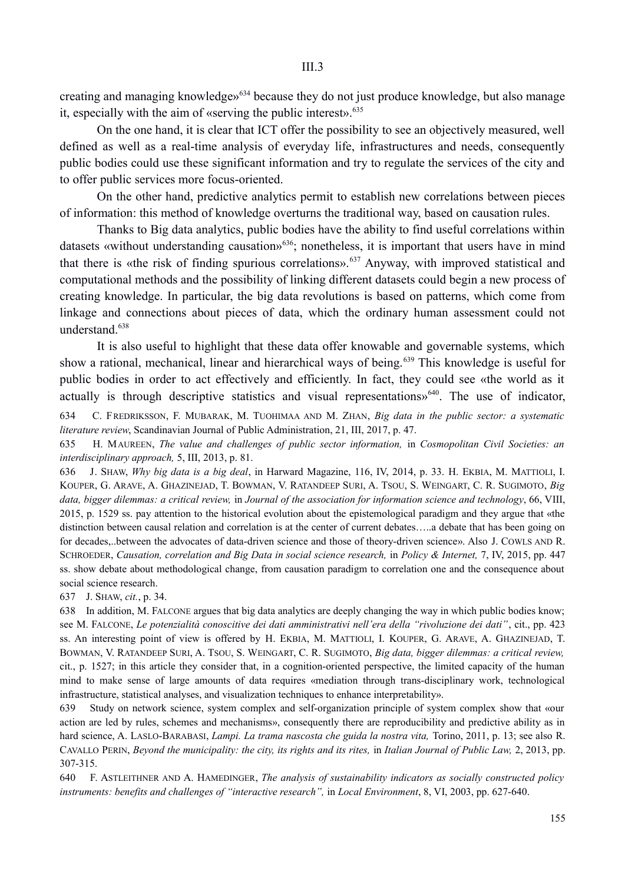creating and managing knowledge»634 because they do not just produce knowledge, but also manage it, especially with the aim of «serving the public interest». $635$ 

On the one hand, it is clear that ICT offer the possibility to see an objectively measured, well defined as well as a real-time analysis of everyday life, infrastructures and needs, consequently public bodies could use these significant information and try to regulate the services of the city and to offer public services more focus-oriented.

On the other hand, predictive analytics permit to establish new correlations between pieces of information: this method of knowledge overturns the traditional way, based on causation rules.

Thanks to Big data analytics, public bodies have the ability to find useful correlations within datasets «without understanding causation»<sup>636</sup>; nonetheless, it is important that users have in mind that there is «the risk of finding spurious correlations».<sup>637</sup> Anyway, with improved statistical and computational methods and the possibility of linking different datasets could begin a new process of creating knowledge. In particular, the big data revolutions is based on patterns, which come from linkage and connections about pieces of data, which the ordinary human assessment could not understand.<sup>638</sup>

It is also useful to highlight that these data offer knowable and governable systems, which show a rational, mechanical, linear and hierarchical ways of being.<sup>639</sup> This knowledge is useful for public bodies in order to act effectively and efficiently. In fact, they could see «the world as it actually is through descriptive statistics and visual representations»<sup>640</sup>. The use of indicator,

634 C. FREDRIKSSON, F. MUBARAK, M. TUOHIMAA AND M. ZHAN, *Big data in the public sector: a systematic literature review*, Scandinavian Journal of Public Administration, 21, III, 2017, p. 47.

635 H. MAUREEN, *The value and challenges of public sector information,* in *Cosmopolitan Civil Societies: an interdisciplinary approach,* 5, III, 2013, p. 81.

636 J. SHAW, *Why big data is a big deal*, in Harward Magazine, 116, IV, 2014, p. 33. H. EKBIA, M. MATTIOLI, I. KOUPER, G. ARAVE, A. GHAZINEJAD, T. BOWMAN, V. RATANDEEP SURI, A. TSOU, S. WEINGART, C. R. SUGIMOTO, *Big data, bigger dilemmas: a critical review,* in *Journal of the association for information science and technology*, 66, VIII, 2015, p. 1529 ss. pay attention to the historical evolution about the epistemological paradigm and they argue that «the distinction between causal relation and correlation is at the center of current debates…..a debate that has been going on for decades,..between the advocates of data-driven science and those of theory-driven science». Also J. COWLS AND R. SCHROEDER, *Causation, correlation and Big Data in social science research,* in *Policy & Internet,* 7, IV, 2015, pp. 447 ss. show debate about methodological change, from causation paradigm to correlation one and the consequence about social science research.

637 J. SHAW, *cit.*, p. 34.

638 In addition, M. FALCONE argues that big data analytics are deeply changing the way in which public bodies know; see M. FALCONE, *Le potenzialità conoscitive dei dati amministrativi nell'era della "rivoluzione dei dati"*, cit., pp. 423 ss. An interesting point of view is offered by H. EKBIA, M. MATTIOLI, I. KOUPER, G. ARAVE, A. GHAZINEJAD, T. BOWMAN, V. RATANDEEP SURI, A. TSOU, S. WEINGART, C. R. SUGIMOTO, *Big data, bigger dilemmas: a critical review,* cit., p. 1527; in this article they consider that, in a cognition-oriented perspective, the limited capacity of the human mind to make sense of large amounts of data requires «mediation through trans-disciplinary work, technological infrastructure, statistical analyses, and visualization techniques to enhance interpretability».

639 Study on network science, system complex and self-organization principle of system complex show that «our action are led by rules, schemes and mechanisms», consequently there are reproducibility and predictive ability as in hard science, A. LASLO-BARABASI, *Lampi. La trama nascosta che guida la nostra vita,* Torino, 2011, p. 13; see also R. CAVALLO PERIN, *Beyond the municipality: the city, its rights and its rites,* in *Italian Journal of Public Law,* 2, 2013, pp. 307-315.

640 F. ASTLEITHNER AND A. HAMEDINGER, *The analysis of sustainability indicators as socially constructed policy instruments: benefits and challenges of "interactive research",* in *Local Environment*, 8, VI, 2003, pp. 627-640.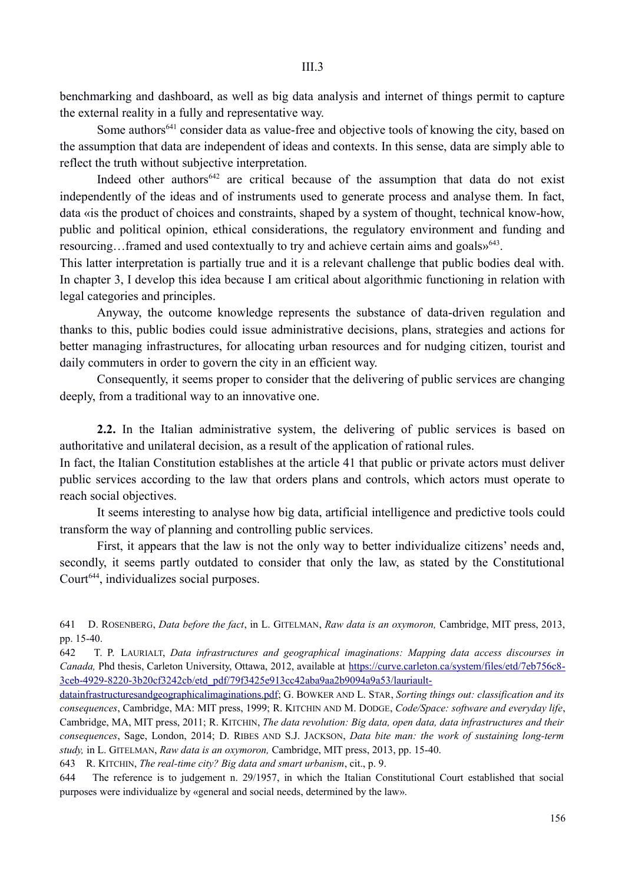benchmarking and dashboard, as well as big data analysis and internet of things permit to capture the external reality in a fully and representative way.

Some authors<sup>641</sup> consider data as value-free and objective tools of knowing the city, based on the assumption that data are independent of ideas and contexts. In this sense, data are simply able to reflect the truth without subjective interpretation.

Indeed other authors<sup> $642$ </sup> are critical because of the assumption that data do not exist independently of the ideas and of instruments used to generate process and analyse them. In fact, data «is the product of choices and constraints, shaped by a system of thought, technical know-how, public and political opinion, ethical considerations, the regulatory environment and funding and resourcing...framed and used contextually to try and achieve certain aims and goals»<sup>643</sup>.

This latter interpretation is partially true and it is a relevant challenge that public bodies deal with. In chapter 3, I develop this idea because I am critical about algorithmic functioning in relation with legal categories and principles.

Anyway, the outcome knowledge represents the substance of data-driven regulation and thanks to this, public bodies could issue administrative decisions, plans, strategies and actions for better managing infrastructures, for allocating urban resources and for nudging citizen, tourist and daily commuters in order to govern the city in an efficient way.

Consequently, it seems proper to consider that the delivering of public services are changing deeply, from a traditional way to an innovative one.

**2.2.** In the Italian administrative system, the delivering of public services is based on authoritative and unilateral decision, as a result of the application of rational rules.

In fact, the Italian Constitution establishes at the article 41 that public or private actors must deliver public services according to the law that orders plans and controls, which actors must operate to reach social objectives.

It seems interesting to analyse how big data, artificial intelligence and predictive tools could transform the way of planning and controlling public services.

First, it appears that the law is not the only way to better individualize citizens' needs and, secondly, it seems partly outdated to consider that only the law, as stated by the Constitutional Court<sup>644</sup>, individualizes social purposes.

641 D. ROSENBERG, *Data before the fact*, in L. GITELMAN, *Raw data is an oxymoron,* Cambridge, MIT press, 2013, pp. 15-40.

642 T. P. LAURIALT, *Data infrastructures and geographical imaginations: Mapping data access discourses in Canada,* Phd thesis, Carleton University, Ottawa, 2012, available at https://curve.carleton.ca/system/files/etd/7eb756c8- 3ceb-4929-8220-3b20cf3242cb/etd\_pdf/79f3425e913cc42aba9aa2b9094a9a53/lauriault-

datainfrastructuresandgeographicalimaginations.pdf; G. BOWKER AND L. STAR, *Sorting things out: classification and its consequences*, Cambridge, MA: MIT press, 1999; R. KITCHIN AND M. DODGE, *Code/Space: software and everyday life*, Cambridge, MA, MIT press, 2011; R. KITCHIN, *The data revolution: Big data, open data, data infrastructures and their consequences*, Sage, London, 2014; D. RIBES AND S.J. JACKSON, *Data bite man: the work of sustaining long-term study,* in L. GITELMAN, *Raw data is an oxymoron,* Cambridge, MIT press, 2013, pp. 15-40.

643 R. KITCHIN, *The real-time city? Big data and smart urbanism*, cit., p. 9.

644 The reference is to judgement n. 29/1957, in which the Italian Constitutional Court established that social purposes were individualize by «general and social needs, determined by the law».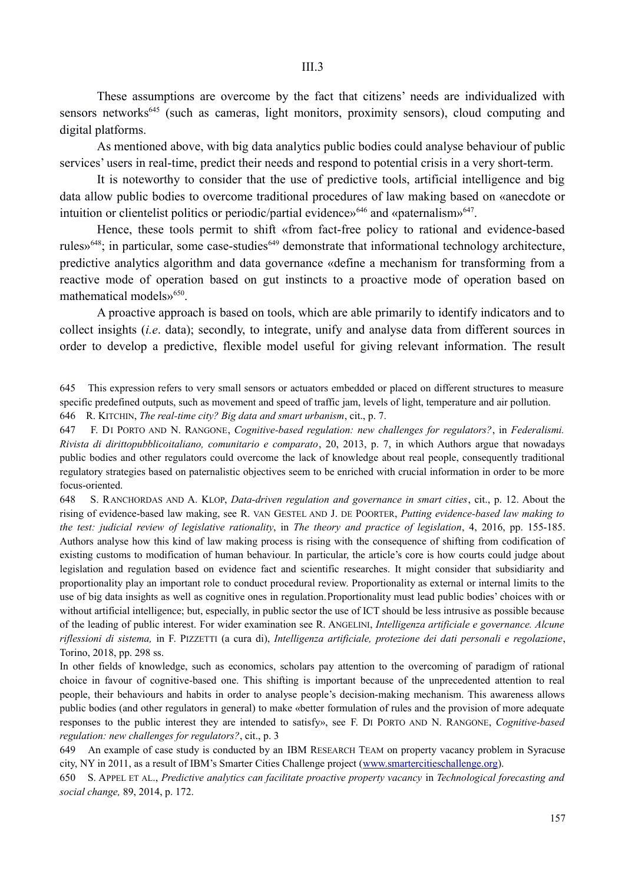These assumptions are overcome by the fact that citizens' needs are individualized with sensors networks<sup>645</sup> (such as cameras, light monitors, proximity sensors), cloud computing and digital platforms.

As mentioned above, with big data analytics public bodies could analyse behaviour of public services' users in real-time, predict their needs and respond to potential crisis in a very short-term.

It is noteworthy to consider that the use of predictive tools, artificial intelligence and big data allow public bodies to overcome traditional procedures of law making based on «anecdote or intuition or clientelist politics or periodic/partial evidence $\mathcal{E}^{\mathcal{A}}$  and «paternalism»<sup>647</sup>.

Hence, these tools permit to shift «from fact-free policy to rational and evidence-based rules»<sup>648</sup>; in particular, some case-studies<sup>649</sup> demonstrate that informational technology architecture, predictive analytics algorithm and data governance «define a mechanism for transforming from a reactive mode of operation based on gut instincts to a proactive mode of operation based on mathematical models»<sup>650</sup>.

A proactive approach is based on tools, which are able primarily to identify indicators and to collect insights (*i.e*. data); secondly, to integrate, unify and analyse data from different sources in order to develop a predictive, flexible model useful for giving relevant information. The result

# 645 This expression refers to very small sensors or actuators embedded or placed on different structures to measure specific predefined outputs, such as movement and speed of traffic jam, levels of light, temperature and air pollution.

646 R. KITCHIN, *The real-time city? Big data and smart urbanism*, cit., p. 7.

647 F. DI PORTO AND N. RANGONE, *Cognitive-based regulation: new challenges for regulators?*, in *Federalismi. Rivista di dirittopubblicoitaliano, comunitario e comparato*, 20, 2013, p. 7, in which Authors argue that nowadays public bodies and other regulators could overcome the lack of knowledge about real people, consequently traditional regulatory strategies based on paternalistic objectives seem to be enriched with crucial information in order to be more focus-oriented.

648 S. RANCHORDAS AND A. KLOP, *Data-driven regulation and governance in smart cities*, cit., p. 12. About the rising of evidence-based law making, see R. VAN GESTEL AND J. DE POORTER, *Putting evidence-based law making to the test: judicial review of legislative rationality*, in *The theory and practice of legislation*, 4, 2016, pp. 155-185. Authors analyse how this kind of law making process is rising with the consequence of shifting from codification of existing customs to modification of human behaviour. In particular, the article's core is how courts could judge about legislation and regulation based on evidence fact and scientific researches. It might consider that subsidiarity and proportionality play an important role to conduct procedural review. Proportionality as external or internal limits to the use of big data insights as well as cognitive ones in regulation.Proportionality must lead public bodies' choices with or without artificial intelligence; but, especially, in public sector the use of ICT should be less intrusive as possible because of the leading of public interest. For wider examination see R. ANGELINI, *Intelligenza artificiale e governance. Alcune riflessioni di sistema,* in F. PIZZETTI (a cura di), *Intelligenza artificiale, protezione dei dati personali e regolazione*, Torino, 2018, pp. 298 ss.

In other fields of knowledge, such as economics, scholars pay attention to the overcoming of paradigm of rational choice in favour of cognitive-based one. This shifting is important because of the unprecedented attention to real people, their behaviours and habits in order to analyse people's decision-making mechanism. This awareness allows public bodies (and other regulators in general) to make «better formulation of rules and the provision of more adequate responses to the public interest they are intended to satisfy», see F. DI PORTO AND N. RANGONE, *Cognitive-based regulation: new challenges for regulators?*, cit., p. 3

649 An example of case study is conducted by an IBM RESEARCH TEAM on property vacancy problem in Syracuse city, NY in 2011, as a result of IBM's Smarter Cities Challenge project (www.smartercitieschallenge.org).

650 S. APPEL ET AL., *Predictive analytics can facilitate proactive property vacancy* in *Technological forecasting and social change,* 89, 2014, p. 172.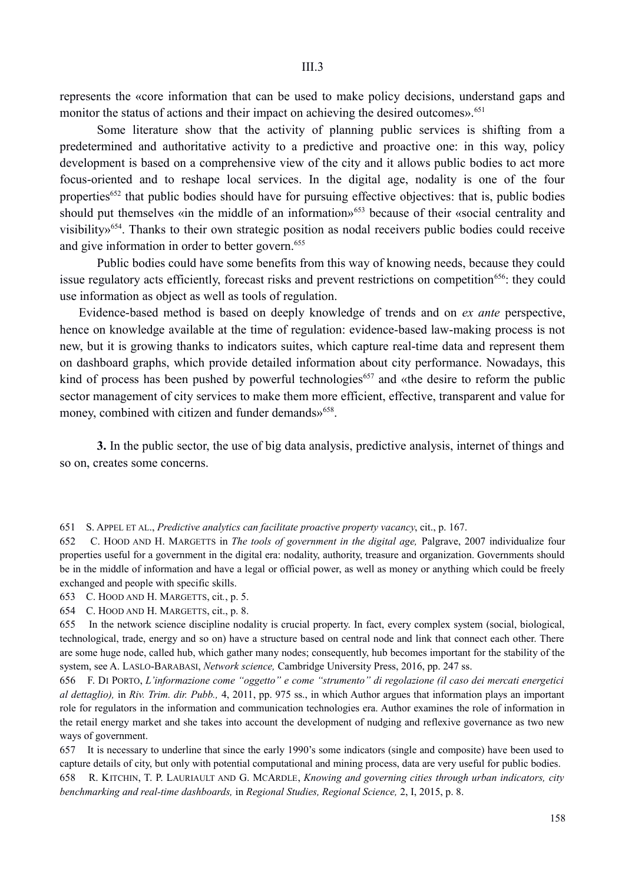represents the «core information that can be used to make policy decisions, understand gaps and monitor the status of actions and their impact on achieving the desired outcomes».<sup>651</sup>

Some literature show that the activity of planning public services is shifting from a predetermined and authoritative activity to a predictive and proactive one: in this way, policy development is based on a comprehensive view of the city and it allows public bodies to act more focus-oriented and to reshape local services. In the digital age, nodality is one of the four properties<sup>652</sup> that public bodies should have for pursuing effective objectives: that is, public bodies should put themselves «in the middle of an information»<sup>653</sup> because of their «social centrality and visibility»654. Thanks to their own strategic position as nodal receivers public bodies could receive and give information in order to better govern.<sup>655</sup>

Public bodies could have some benefits from this way of knowing needs, because they could issue regulatory acts efficiently, forecast risks and prevent restrictions on competition<sup>656</sup>: they could use information as object as well as tools of regulation.

Evidence-based method is based on deeply knowledge of trends and on *ex ante* perspective, hence on knowledge available at the time of regulation: evidence-based law-making process is not new, but it is growing thanks to indicators suites, which capture real-time data and represent them on dashboard graphs, which provide detailed information about city performance. Nowadays, this kind of process has been pushed by powerful technologies<sup> $657$ </sup> and «the desire to reform the public sector management of city services to make them more efficient, effective, transparent and value for money, combined with citizen and funder demands»<sup>658</sup>.

**3.** In the public sector, the use of big data analysis, predictive analysis, internet of things and so on, creates some concerns.

651 S. APPEL ET AL., *Predictive analytics can facilitate proactive property vacancy*, cit., p. 167.

652 C. HOOD AND H. MARGETTS in *The tools of government in the digital age,* Palgrave, 2007 individualize four properties useful for a government in the digital era: nodality, authority, treasure and organization. Governments should be in the middle of information and have a legal or official power, as well as money or anything which could be freely exchanged and people with specific skills.

653 C. HOOD AND H. MARGETTS, cit*.*, p. 5.

654 C. HOOD AND H. MARGETTS, cit., p. 8.

655 In the network science discipline nodality is crucial property. In fact, every complex system (social, biological, technological, trade, energy and so on) have a structure based on central node and link that connect each other. There are some huge node, called hub, which gather many nodes; consequently, hub becomes important for the stability of the system, see A. LASLO-BARABASI, *Network science,* Cambridge University Press, 2016, pp. 247 ss.

656 F. DI PORTO, *L'informazione come "oggetto" e come "strumento" di regolazione (il caso dei mercati energetici al dettaglio),* in *Riv. Trim. dir. Pubb.,* 4, 2011, pp. 975 ss., in which Author argues that information plays an important role for regulators in the information and communication technologies era. Author examines the role of information in the retail energy market and she takes into account the development of nudging and reflexive governance as two new ways of government.

657 It is necessary to underline that since the early 1990's some indicators (single and composite) have been used to capture details of city, but only with potential computational and mining process, data are very useful for public bodies.

658 R. KITCHIN, T. P. LAURIAULT AND G. MCARDLE, *Knowing and governing cities through urban indicators, city benchmarking and real-time dashboards,* in *Regional Studies, Regional Science,* 2, I, 2015, p. 8.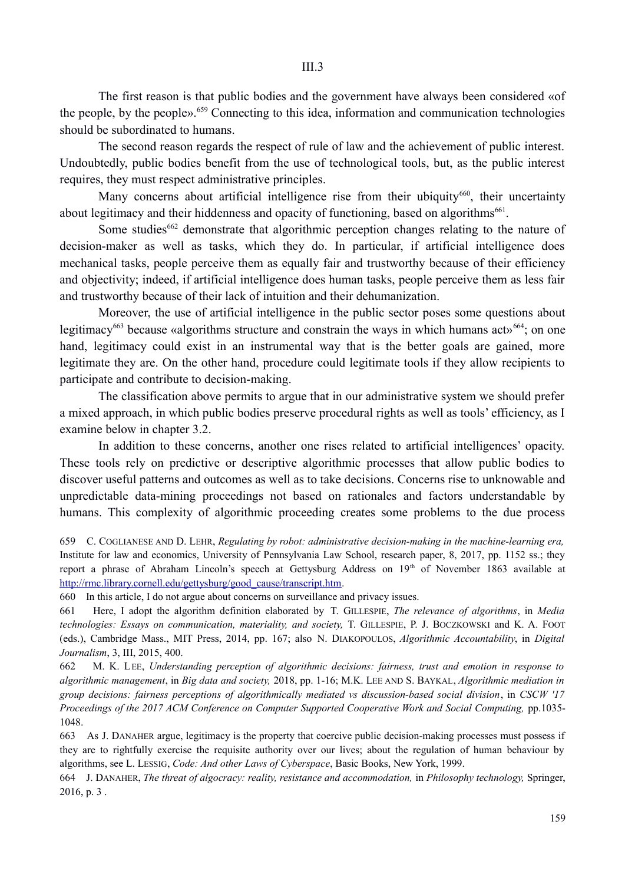The first reason is that public bodies and the government have always been considered «of the people, by the people».<sup>659</sup> Connecting to this idea, information and communication technologies should be subordinated to humans.

The second reason regards the respect of rule of law and the achievement of public interest. Undoubtedly, public bodies benefit from the use of technological tools, but, as the public interest requires, they must respect administrative principles.

Many concerns about artificial intelligence rise from their ubiquity<sup>660</sup>, their uncertainty about legitimacy and their hiddenness and opacity of functioning, based on algorithms<sup>661</sup>.

Some studies<sup>662</sup> demonstrate that algorithmic perception changes relating to the nature of decision-maker as well as tasks, which they do. In particular, if artificial intelligence does mechanical tasks, people perceive them as equally fair and trustworthy because of their efficiency and objectivity; indeed, if artificial intelligence does human tasks, people perceive them as less fair and trustworthy because of their lack of intuition and their dehumanization.

Moreover, the use of artificial intelligence in the public sector poses some questions about legitimacy<sup>663</sup> because «algorithms structure and constrain the ways in which humans act»<sup>664</sup>; on one hand, legitimacy could exist in an instrumental way that is the better goals are gained, more legitimate they are. On the other hand, procedure could legitimate tools if they allow recipients to participate and contribute to decision-making.

The classification above permits to argue that in our administrative system we should prefer a mixed approach, in which public bodies preserve procedural rights as well as tools' efficiency, as I examine below in chapter 3.2.

In addition to these concerns, another one rises related to artificial intelligences' opacity. These tools rely on predictive or descriptive algorithmic processes that allow public bodies to discover useful patterns and outcomes as well as to take decisions. Concerns rise to unknowable and unpredictable data-mining proceedings not based on rationales and factors understandable by humans. This complexity of algorithmic proceeding creates some problems to the due process

659 C. COGLIANESE AND D. LEHR, *Regulating by robot: administrative decision-making in the machine-learning era,* Institute for law and economics, University of Pennsylvania Law School, research paper, 8, 2017, pp. 1152 ss.; they report a phrase of Abraham Lincoln's speech at Gettysburg Address on 19<sup>th</sup> of November 1863 available at http://rmc.library.cornell.edu/gettysburg/good\_cause/transcript.htm.

660 In this article, I do not argue about concerns on surveillance and privacy issues.

661 Here, I adopt the algorithm definition elaborated by T. GILLESPIE, *The relevance of algorithms*, in *Media technologies: Essays on communication, materiality, and society,* T. GILLESPIE, P. J. BOCZKOWSKI and K. A. FOOT (eds.), Cambridge Mass., MIT Press, 2014, pp. 167; also N. DIAKOPOULOS, *Algorithmic Accountability*, in *Digital Journalism*, 3, III, 2015, 400.

662 M. K. LEE, *Understanding perception of algorithmic decisions: fairness, trust and emotion in response to algorithmic management*, in *Big data and society,* 2018, pp. 1-16; M.K. LEE AND S. BAYKAL, *Algorithmic mediation in group decisions: fairness perceptions of algorithmically mediated vs discussion-based social division*, in *CSCW '17 Proceedings of the 2017 ACM Conference on Computer Supported Cooperative Work and Social Computing, pp.1035-*1048.

663 As J. DANAHER argue, legitimacy is the property that coercive public decision-making processes must possess if they are to rightfully exercise the requisite authority over our lives; about the regulation of human behaviour by algorithms, see L. LESSIG, *Code: And other Laws of Cyberspace*, Basic Books, New York, 1999.

664 J. DANAHER, *The threat of algocracy: reality, resistance and accommodation,* in *Philosophy technology,* Springer, 2016, p. 3 .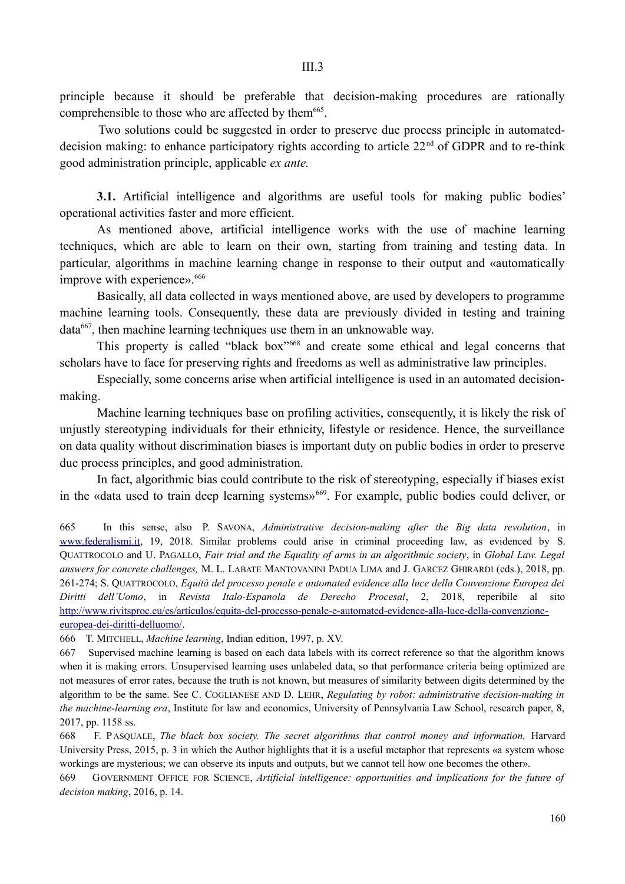principle because it should be preferable that decision-making procedures are rationally comprehensible to those who are affected by them<sup>665</sup>.

Two solutions could be suggested in order to preserve due process principle in automateddecision making: to enhance participatory rights according to article  $22<sup>nd</sup>$  of GDPR and to re-think good administration principle, applicable *ex ante.*

**3.1.** Artificial intelligence and algorithms are useful tools for making public bodies' operational activities faster and more efficient.

As mentioned above, artificial intelligence works with the use of machine learning techniques, which are able to learn on their own, starting from training and testing data. In particular, algorithms in machine learning change in response to their output and «automatically improve with experience».<sup>666</sup>

Basically, all data collected in ways mentioned above, are used by developers to programme machine learning tools. Consequently, these data are previously divided in testing and training data667, then machine learning techniques use them in an unknowable way.

This property is called "black box"<sup>668</sup> and create some ethical and legal concerns that scholars have to face for preserving rights and freedoms as well as administrative law principles.

Especially, some concerns arise when artificial intelligence is used in an automated decisionmaking.

Machine learning techniques base on profiling activities, consequently, it is likely the risk of unjustly stereotyping individuals for their ethnicity, lifestyle or residence. Hence, the surveillance on data quality without discrimination biases is important duty on public bodies in order to preserve due process principles, and good administration.

In fact, algorithmic bias could contribute to the risk of stereotyping, especially if biases exist in the «data used to train deep learning systems»<sup>669</sup>. For example, public bodies could deliver, or

665 In this sense, also P. SAVONA, *Administrative decision-making after the Big data revolution*, in www.federalismi.it, 19, 2018. Similar problems could arise in criminal proceeding law, as evidenced by S. QUATTROCOLO and U. PAGALLO, *Fair trial and the Equality of arms in an algorithmic society*, in *Global Law. Legal answers for concrete challenges,* M. L. LABATE MANTOVANINI PADUA LIMA and J. GARCEZ GHIRARDI (eds.), 2018, pp. 261-274; S. QUATTROCOLO, *Equità del processo penale e automated evidence alla luce della Convenzione Europea dei Diritti dell'Uomo*, in *Revista Italo-Espanola de Derecho Procesal*, 2, 2018, reperibile al sito http://www.rivitsproc.eu/es/articulos/equita-del-processo-penale-e-automated-evidence-alla-luce-della-convenzioneeuropea-dei-diritti-delluomo/.

666 T. MITCHELL, *Machine learning*, Indian edition, 1997, p. XV.

667 Supervised machine learning is based on each data labels with its correct reference so that the algorithm knows when it is making errors. Unsupervised learning uses unlabeled data, so that performance criteria being optimized are not measures of error rates, because the truth is not known, but measures of similarity between digits determined by the algorithm to be the same. See C. COGLIANESE AND D. LEHR, *Regulating by robot: administrative decision-making in the machine-learning era*, Institute for law and economics, University of Pennsylvania Law School, research paper, 8, 2017, pp. 1158 ss.

668 F. P ASQUALE, *The black box society. The secret algorithms that control money and information,* Harvard University Press, 2015, p. 3 in which the Author highlights that it is a useful metaphor that represents «a system whose workings are mysterious; we can observe its inputs and outputs, but we cannot tell how one becomes the other».

669 GOVERNMENT OFFICE FOR SCIENCE, *Artificial intelligence: opportunities and implications for the future of decision making*, 2016, p. 14.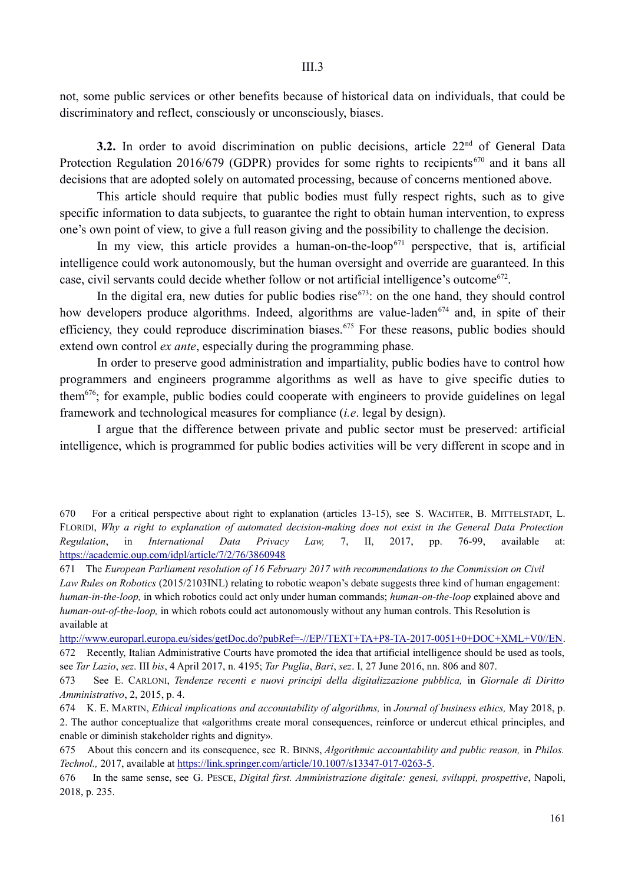not, some public services or other benefits because of historical data on individuals, that could be discriminatory and reflect, consciously or unconsciously, biases.

3.2. In order to avoid discrimination on public decisions, article 22<sup>nd</sup> of General Data Protection Regulation 2016/679 (GDPR) provides for some rights to recipients<sup>670</sup> and it bans all decisions that are adopted solely on automated processing, because of concerns mentioned above.

This article should require that public bodies must fully respect rights, such as to give specific information to data subjects, to guarantee the right to obtain human intervention, to express one's own point of view, to give a full reason giving and the possibility to challenge the decision.

In my view, this article provides a human-on-the-loop<sup> $671$ </sup> perspective, that is, artificial intelligence could work autonomously, but the human oversight and override are guaranteed. In this case, civil servants could decide whether follow or not artificial intelligence's outcome<sup>672</sup>.

In the digital era, new duties for public bodies rise $673$ : on the one hand, they should control how developers produce algorithms. Indeed, algorithms are value-laden<sup>674</sup> and, in spite of their efficiency, they could reproduce discrimination biases.<sup>675</sup> For these reasons, public bodies should extend own control *ex ante*, especially during the programming phase.

In order to preserve good administration and impartiality, public bodies have to control how programmers and engineers programme algorithms as well as have to give specific duties to them676; for example, public bodies could cooperate with engineers to provide guidelines on legal framework and technological measures for compliance (*i.e*. legal by design).

I argue that the difference between private and public sector must be preserved: artificial intelligence, which is programmed for public bodies activities will be very different in scope and in

http://www.europarl.europa.eu/sides/getDoc.do?pubRef=-//EP//TEXT+TA+P8-TA-2017-0051+0+DOC+XML+V0//EN. 672 Recently, Italian Administrative Courts have promoted the idea that artificial intelligence should be used as tools, see *Tar Lazio*, *sez*. III *bis*, 4 April 2017, n. 4195; *Tar Puglia*, *Bari*, *sez*. I, 27 June 2016, nn. 806 and 807.

<sup>670</sup> For a critical perspective about right to explanation (articles 13-15), see S. WACHTER, B. MITTELSTADT, L. FLORIDI, *Why a right to explanation of automated decision-making does not exist in the General Data Protection Regulation*, in *International Data Privacy Law,* 7, II, 2017, pp. 76-99, available at: https://academic.oup.com/idpl/article/7/2/76/3860948

<sup>671</sup> The *European Parliament resolution of 16 February 2017 with recommendations to the Commission on Civil Law Rules on Robotics* (2015/2103INL) relating to robotic weapon's debate suggests three kind of human engagement: *human-in-the-loop,* in which robotics could act only under human commands; *human-on-the-loop* explained above and *human-out-of-the-loop,* in which robots could act autonomously without any human controls. This Resolution is available at

<sup>673</sup> See E. CARLONI, *Tendenze recenti e nuovi principi della digitalizzazione pubblica,* in *Giornale di Diritto Amministrativo*, 2, 2015, p. 4.

<sup>674</sup> K. E. MARTIN, *Ethical implications and accountability of algorithms,* in *Journal of business ethics,* May 2018, p. 2. The author conceptualize that «algorithms create moral consequences, reinforce or undercut ethical principles, and enable or diminish stakeholder rights and dignity».

<sup>675</sup> About this concern and its consequence, see R. BINNS, *Algorithmic accountability and public reason,* in *Philos. Technol.,* 2017, available at https://link.springer.com/article/10.1007/s13347-017-0263-5.

<sup>676</sup> In the same sense, see G. PESCE, *Digital first. Amministrazione digitale: genesi, sviluppi, prospettive*, Napoli, 2018, p. 235.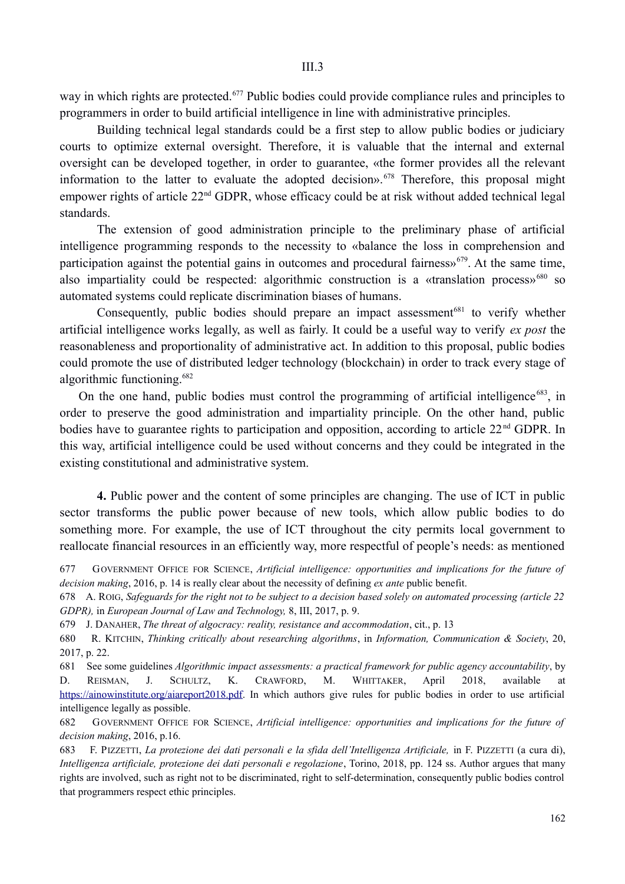way in which rights are protected.<sup>677</sup> Public bodies could provide compliance rules and principles to programmers in order to build artificial intelligence in line with administrative principles.

Building technical legal standards could be a first step to allow public bodies or judiciary courts to optimize external oversight. Therefore, it is valuable that the internal and external oversight can be developed together, in order to guarantee, «the former provides all the relevant information to the latter to evaluate the adopted decision».<sup> $678$ </sup> Therefore, this proposal might empower rights of article 22<sup>nd</sup> GDPR, whose efficacy could be at risk without added technical legal standards.

The extension of good administration principle to the preliminary phase of artificial intelligence programming responds to the necessity to «balance the loss in comprehension and participation against the potential gains in outcomes and procedural fairness»<sup>679</sup>. At the same time, also impartiality could be respected: algorithmic construction is a «translation process»<sup>680</sup> so automated systems could replicate discrimination biases of humans.

Consequently, public bodies should prepare an impact assessment<sup>681</sup> to verify whether artificial intelligence works legally, as well as fairly. It could be a useful way to verify *ex post* the reasonableness and proportionality of administrative act. In addition to this proposal, public bodies could promote the use of distributed ledger technology (blockchain) in order to track every stage of algorithmic functioning.682

On the one hand, public bodies must control the programming of artificial intelligence<sup> $683$ </sup>, in order to preserve the good administration and impartiality principle. On the other hand, public bodies have to guarantee rights to participation and opposition, according to article 22<sup>nd</sup> GDPR. In this way, artificial intelligence could be used without concerns and they could be integrated in the existing constitutional and administrative system.

**4.** Public power and the content of some principles are changing. The use of ICT in public sector transforms the public power because of new tools, which allow public bodies to do something more. For example, the use of ICT throughout the city permits local government to reallocate financial resources in an efficiently way, more respectful of people's needs: as mentioned

678 A. ROIG, *Safeguards for the right not to be subject to a decision based solely on automated processing (article 22 GDPR),* in *European Journal of Law and Technology,* 8, III, 2017, p. 9.

681 See some guidelines *Algorithmic impact assessments: a practical framework for public agency accountability*, by D. REISMAN, J. SCHULTZ, K. CRAWFORD, M. WHITTAKER, April 2018, available at https://ainowinstitute.org/aiareport2018.pdf. In which authors give rules for public bodies in order to use artificial intelligence legally as possible.

682 GOVERNMENT OFFICE FOR SCIENCE, *Artificial intelligence: opportunities and implications for the future of decision making*, 2016, p.16.

683 F. PIZZETTI, *La protezione dei dati personali e la sfida dell'Intelligenza Artificiale,* in F. PIZZETTI (a cura di), *Intelligenza artificiale, protezione dei dati personali e regolazione*, Torino, 2018, pp. 124 ss. Author argues that many rights are involved, such as right not to be discriminated, right to self-determination, consequently public bodies control that programmers respect ethic principles.

<sup>677</sup> GOVERNMENT OFFICE FOR SCIENCE, *Artificial intelligence: opportunities and implications for the future of decision making*, 2016, p. 14 is really clear about the necessity of defining *ex ante* public benefit.

<sup>679</sup> J. DANAHER, *The threat of algocracy: reality, resistance and accommodation*, cit., p. 13

<sup>680</sup> R. KITCHIN, *Thinking critically about researching algorithms*, in *Information, Communication & Society*, 20, 2017, p. 22.